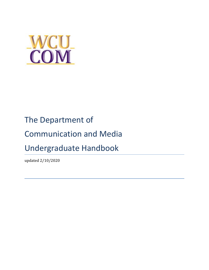

# The Department of

# Communication and Media

# Undergraduate Handbook

updated 2/10/2020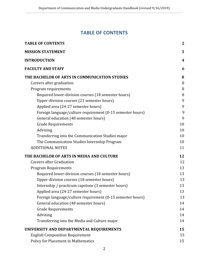# **TABLE OF CONTENTS**

<span id="page-1-0"></span>

| <b>TABLE OF CONTENTS</b>                                   | $\mathbf{2}$ |
|------------------------------------------------------------|--------------|
| <b>MISSION STATEMENT</b>                                   | 3            |
| <b>INTRODUCTION</b>                                        | 4            |
| <b>FACULTY AND STAFF</b>                                   | 6            |
| THE BACHELOR OF ARTS IN COMMUNICATION STUDIES              | 8            |
| Careers after graduation                                   | 8            |
| Program requirements                                       | 8            |
| Required lower-division courses (18 semester hours)        | 8            |
| Upper-division courses (21 semester hours)                 | 9            |
| Applied area (24-27 semester hours)                        | 9            |
| Foreign language/culture requirement (0-15 semester hours) | 9            |
| General education (48 semester hours)                      | 9            |
| <b>Grade Requirements</b>                                  | 10           |
| Advising                                                   | 10           |
| Transferring into the Communication Studies major          | 10           |
| The Communication Studies Internship Program               | 10           |
| <b>ADDITIONAL NOTES</b>                                    | 11           |
| THE BACHELOR OF ARTS IN MEDIA AND CULTURE                  | 12           |
| <b>Careers after Graduation</b>                            | 12           |
| <b>Program Requirements</b>                                |              |
| Required lower-division courses (18 semester hours)        | 13           |
| Upper-division courses (18 semester hours)                 |              |
| Internship / practicum capstone (3 semester hours)         | 13           |
| Applied area (24-27 semester hours)                        | 13           |
| Foreign language/culture requirement (0-15 semester hours) | 13           |
| General education (48 semester hours)                      | 14           |
| <b>Grade Requirements</b>                                  | 14           |
| Advising                                                   | 14           |
| Transferring into the Media and Culture major              | 14           |
| UNIVERSITY AND DEPARTMENTAL REQUIREMENTS                   | 15           |
| <b>English Composition Requirement</b>                     | 15           |
| Policy for Placement in Mathematics                        | 15           |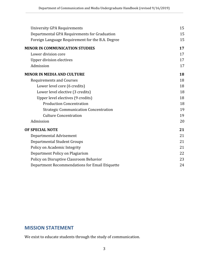| University GPA Requirements                      | 15 |
|--------------------------------------------------|----|
| Departmental GPA Requirements for Graduation     | 15 |
| Foreign Language Requirement for the B.A. Degree | 15 |
| <b>MINOR IN COMMUNICATION STUDIES</b>            | 17 |
| Lower division core                              | 17 |
| <b>Upper division electives</b>                  | 17 |
| Admission                                        | 17 |
| <b>MINOR IN MEDIA AND CULTURE</b>                | 18 |
| <b>Requirements and Courses</b>                  | 18 |
| Lower level core (6 credits)                     | 18 |
| Lower level elective (3 credits)                 | 18 |
| Upper level electives (9 credits)                | 18 |
| <b>Production Concentration</b>                  | 18 |
| <b>Strategic Communication Concentration</b>     | 19 |
| <b>Culture Concentration</b>                     | 19 |
| Admission                                        | 20 |
| OF SPECIAL NOTE                                  | 21 |
| Departmental Advisement                          | 21 |
| <b>Departmental Student Groups</b>               | 21 |
| Policy on Academic Integrity                     | 21 |
| Department Policy on Plagiarism                  | 22 |
| Policy on Disruptive Classroom Behavior          | 23 |
| Department Recommendations for Email Etiquette   | 24 |

# <span id="page-2-0"></span>**MISSION STATEMENT**

We exist to educate students through the study of communication.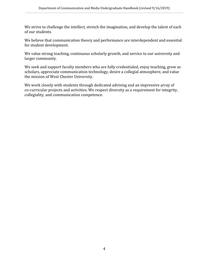We strive to challenge the intellect, stretch the imagination, and develop the talent of each of our students.

We believe that communication theory and performance are interdependent and essential for student development.

We value strong teaching, continuous scholarly growth, and service to our university and larger community.

We seek and support faculty members who are fully credentialed, enjoy teaching, grow as scholars, appreciate communication technology, desire a collegial atmosphere, and value the mission of West Chester University.

<span id="page-3-0"></span>We work closely with students through dedicated advising and an impressive array of co-curricular projects and activities. We respect diversity as a requirement for integrity, collegiality, and communication competence.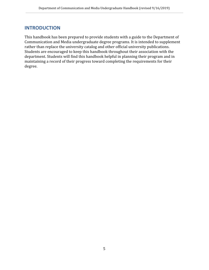# **INTRODUCTION**

This handbook has been prepared to provide students with a guide to the Department of Communication and Media undergraduate degree programs. It is intended to supplement rather than replace the university catalog and other official university publications. Students are encouraged to keep this handbook throughout their association with the department. Students will find this handbook helpful in planning their program and in maintaining a record of their progress toward completing the requirements for their degree.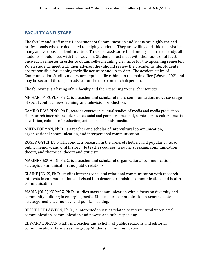# <span id="page-5-0"></span>**FACULTY AND STAFF**

The faculty and staff in the Department of Communication and Media are highly trained professionals who are dedicated to helping students. They are willing and able to assist in many and various academic matters. To secure assistance in planning a course of study, all students should meet with their advisor. Students must meet with their advisor at least once each semester in order to obtain self-scheduling clearance for the upcoming semester. When students meet with their advisor, they should review their academic file. Students are responsible for keeping their file accurate and up-to-date. The academic files of Communication Studies majors are kept in a file cabinet in the main office (Wayne 202) and may be secured through an advisor or the department chairperson.

The following is a listing of the faculty and their teaching/research interests:

MICHAEL P. BOYLE, Ph.D., is a teacher and scholar of mass communication, news coverage of social conflict, news framing, and television production.

CAMILO DIAZ PINO, Ph.D., teaches courses in cultural studies of media and media production. His research interests include post-colonial and peripheral media dynamics, cross-cultural media circulation, cultures of production, animation, and kids' media.

ANITA FOEMAN, Ph.D., is a teacher and scholar of intercultural communication, organizational communication, and interpersonal communication.

ROGER GATCHET, Ph.D., conducts research in the areas of rhetoric and popular culture, public memory, and oral history. He teaches courses in public speaking, communication theory, and rhetorical theory and criticism

MAXINE GESUALDI, Ph.D., is a teacher and scholar of organizational communication, strategic communication and public relations

ELAINE JENKS, Ph.D., studies interpersonal and relational communication with research interests in communication and visual impairment, friendship communication, and health communication.

MARIA (OLA) KOPACZ, Ph.D., studies mass communication with a focus on diversity and community building in emerging media. She teaches communication research, content strategy, media technology, and public speaking.

BESSIE LEE LAWTON, Ph.D., is interested in issues related to intercultural/interracial communication, communication and power, and public speaking.

EDWARD LORDAN, Ph.D., is a teacher and scholar of public relations and editorial communication. He advises the group Students in Communication.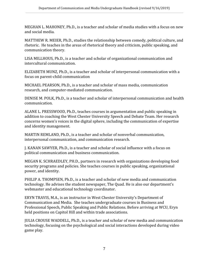MEGHAN L. MAHONEY, Ph.D., is a teacher and scholar of media studies with a focus on new and social media.

MATTHEW R. MEIER, Ph.D., studies the relationship between comedy, political culture, and rhetoric. He teaches in the areas of rhetorical theory and criticism, public speaking, and communication theory.

LISA MILLHOUS, Ph.D., is a teacher and scholar of organizational communication and intercultural communication.

ELIZABETH MUNZ, Ph.D., is a teacher and scholar of interpersonal communication with a focus on parent-child communication

MICHAEL PEARSON, Ph.D., is a teacher and scholar of mass media, communication research, and computer-mediated communication.

DENISE M. POLK, Ph.D., is a teacher and scholar of interpersonal communication and health communication.

ALANE L. PRESSWOOD, Ph.D., teaches courses in argumentation and public speaking in addition to coaching the West Chester University Speech and Debate Team. Her research concerns women's voices in the digital sphere, including the communication of expertise and identity management.

MARTIN REMLAND, Ph.D., is a teacher and scholar of nonverbal communication, interpersonal communication, and communication research.

J. KANAN SAWYER, Ph.D., is a teacher and scholar of social influence with a focus on political communication and business communication.

MEGAN K. SCHRAEDLEY, PH.D., partners in research with organizations developing food security programs and policies. She teaches courses in public speaking, organizational power, and identity.

PHILIP A. THOMPSEN, Ph.D., is a teacher and scholar of new media and communication technology. He advises the student newspaper, The Quad. He is also our department's webmaster and educational technology coordinator.

ERYN TRAVIS, M.A., is an instructor in West Chester University's Department of Communication and Media. She teaches undergraduate courses in Business and Professional Speech, Public Speaking and Public Relations. Before arriving at WCU, Eryn held positions on Capitol Hill and within trade associations.

JULIA CROUSE WADDELL, Ph.D., is a teacher and scholar of new media and communication technology, focusing on the psychological and social interactions developed during video game play.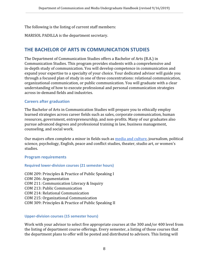The following is the listing of current staff members:

MARISOL PADILLA is the department secretary.

# <span id="page-7-0"></span>**THE BACHELOR OF ARTS IN COMMUNICATION STUDIES**

The Department of Communication Studies offers a Bachelor of Arts (B.A.) in Communication Studies. This program provides students with a comprehensive and in-depth study of communication. You will develop competence in communication and expand your expertise to a specialty of your choice. Your dedicated advisor will guide you through a focused plan of study in one of three concentrations: relational communication, organizational communication, or public communication. You will graduate with a clear understanding of how to execute professional and personal communication strategies across in-demand fields and industries.

#### <span id="page-7-1"></span>**Careers after graduation**

The Bachelor of Arts in Communication Studies will prepare you to ethically employ learned strategies across career fields such as sales, corporate communication, human resources, government, entrepreneurship, and non-profits. Many of our graduates also pursue advanced degrees and professional training in law, business management, counseling, and social work.

Our majors often complete a minor in fields such as [media and culture](https://www.wcupa.edu/arts-humanities/communicationStudies/mediaMinor.aspx), journalism, political science, psychology, English, peace and conflict studies, theater, studio art, or women's studies.

#### <span id="page-7-2"></span>**Program requirements**

#### <span id="page-7-3"></span>**Required lower-division courses (21 semester hours)**

COM 209: Principles & Practice of Public Speaking I COM 206: Argumentation COM 211: Communication Literacy & Inquiry COM 213: Public Communication COM 214: Relational Communication COM 215: Organizational Communication COM 309: Principles & Practice of Public Speaking II

#### <span id="page-7-4"></span>**Upper-division courses (15 semester hours)**

Work with your advisor to select five appropriate courses at the 300 and/or 400 level from the listing of department course offerings. Every semester, a listing of those courses that the department plans to offer will be posted and distributed to advisors. This listing will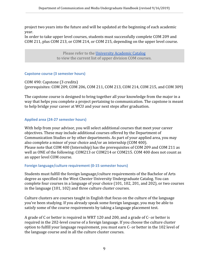project two years into the future and will be updated at the beginning of each academic year.

In order to take upper level courses, students must successfully complete COM 209 and COM 211, plus COM 213, or COM 214, or COM 215, depending on the upper level course.

> Please refer to the [University Academic Catalog](http://catalog.wcupa.edu/undergraduate/arts-humanities/communication-media/communication-studies-ba/) to view the current list of upper division COM courses.

#### **Capstone course (3 semester hours)**

COM 490: Capstone (3 credits) (prerequisites: COM 209, COM 206, COM 211, COM 213, COM 214, COM 215, and COM 309)

The capstone course is designed to bring together all your knowledge from the major in a way that helps you complete a project pertaining to communication. The capstone is meant to help bridge your career at WCU and your next steps after graduation.

#### **Applied area (24-27 semester hours)**

With help from your advisor, you will select additional courses that meet your career objectives. These may include additional courses offered by the Department of Communication Studies or by other departments. As part of your applied area, you may also complete a minor of your choice and/or an internship (COM 400). Please note that COM 400 (Internship) has the prerequisites of COM 209 and COM 211 as well as ONE of the following: COM213 or COM214 or COM215. COM 400 does not count as an upper level COM course.

#### <span id="page-8-0"></span>**Foreign language/culture requirement (0-15 semester hours)**

Students must fulfill the foreign language/culture requirements of the Bachelor of Arts degree as specified in the West Chester University Undergraduate Catalog. You can complete four courses in a language of your choice (101, 102, 201, and 202), or two courses in the language (101, 102) and three culture cluster courses.

Culture clusters are courses taught in English that focus on the culture of the language you've been studying. If you already speak some foreign language, you may be able to satisfy some of the course requirements by taking a language placement test.

A grade of C or better is required in WRT 120 and 200, and a grade of C- or better is required in the 202-level course of a foreign language. If you choose the culture cluster option to fulfill your language requirement, you must earn C- or better in the 102 level of the language course and in all the culture cluster courses.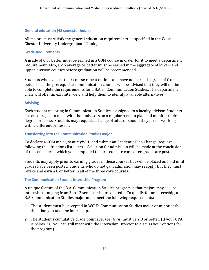#### <span id="page-9-0"></span>**General education (48 semester hours)**

All majors must satisfy the general education requirements, as specified in the West Chester University Undergraduate Catalog.

#### <span id="page-9-1"></span>**Grade Requirements**

A grade of C or better must be earned in a COM course in order for it to meet a department requirement. Also, a 2.5 average or better must be earned in the aggregate of lower- and upper-division courses before graduation will be recommended.

Students who exhaust their course repeat options and have not earned a grade of C or better in all the prerequisite communication courses will be advised that they will not be able to complete the requirements for a B.A. in Communication Studies. The department chair will offer an exit interview and help them to identify available alternatives.

#### <span id="page-9-2"></span>**Advising**

Each student majoring in Communication Studies is assigned to a faculty advisor. Students are encouraged to meet with their advisors on a regular basis to plan and monitor their degree progress. Students may request a change of advisor should they prefer working with a different professor.

#### <span id="page-9-3"></span>**Transferring into the Communication Studies major**

To declare a COM major, visit MyWCU and submit an Academic Plan Change Request, following the directions listed here. Selection for admission will be made at the conclusion of the semester in which you completed the prerequisite core, after grades are posted.

Students may apply prior to earning grades in these courses but will be placed on hold until grades have been posted. Students who do not gain admission may reapply, but they must retake and earn a C or better in all of the three core courses.

#### <span id="page-9-4"></span>**The Communication Studies Internship Program**

A unique feature of the B.A. Communication Studies program is that majors may secure internships ranging from 3 to 12 semester hours of credit. To qualify for an internship, a B.A. Communication Studies major must meet the following requirements:

- 1. The student must be accepted in WCU's Communication Studies major or minor at the time that you take the internship.
- 2. The student's cumulative grade point average (GPA) must be 2.8 or better. (If your GPA is below 2.8, you can still meet with the Internship Director to discuss your options for the program).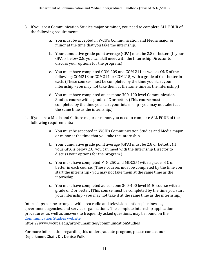- 3. If you are a Communication Studies major or minor, you need to complete ALL FOUR of the following requirements:
	- a. You must be accepted in WCU's Communication and Media major or minor at the time that you take the internship.
	- b. Your cumulative grade point average (GPA) must be 2.8 or better. (If your GPA is below 2.8, you can still meet with the Internship Director to discuss your options for the program.)
	- c. You must have completed COM 209 and COM 211 as well as ONE of the following: COM213 or COM214 or COM215, with a grade of C or better in each. (These courses must be completed by the time you start your internship - you may not take them at the same time as the internship.)
	- d. You must have completed at least one 300-400 level Communication Studies course with a grade of C or better. (This course must be completed by the time you start your internship - you may not take it at the same time as the internship.)
- 4. If you are a Media and Culture major or minor, you need to complete ALL FOUR of the following requirements:
	- a. You must be accepted in WCU's Communication Studies and Media major or minor at the time that you take the internship.
	- b. Your cumulative grade point average (GPA) must be 2.8 or bettetr. (If your GPA is below 2.8, you can meet with the Internship Director to discuss your options for the program.)
	- c. You must have completed MDC250 and MDC251with a grade of C or better in each course. (These courses must be completed by the time you start the internship - you may not take them at the same time as the internship.
	- d. You must have completed at least one 300-400 level MDC course with a grade of C or better. (This course must be completed by the time you start your internship - you may not take it at the same time as the internship.)

Internships can be arranged with area radio and television stations, businesses, government agencies, and service organizations. The complete internship application procedures, as well as answers to frequently asked questions, may be found on the [Communication Studies website](https://www.wcupa.edu/arts-humanities/communicationStudies)

https://www.wcupa.edu/arts-humanities/communicationStudies

For more information regarding this undergraduate program, please contact our Department Chair, Dr. Denise Polk.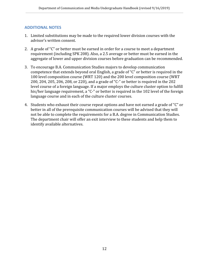#### <span id="page-11-0"></span>**ADDITIONAL NOTES**

- 1. Limited substitutions may be made to the required lower division courses with the advisor's written consent.
- 2. A grade of "C" or better must be earned in order for a course to meet a department requirement (including SPK 208). Also, a 2.5 average or better must be earned in the aggregate of lower and upper division courses before graduation can be recommended.
- 3. To encourage B.A. Communication Studies majors to develop communication competence that extends beyond oral English, a grade of "C" or better is required in the 100 level composition course (WRT 120) and the 200 level composition course (WRT 200, 204, 205, 206, 208, or 220), and a grade of "C-" or better is required in the 202 level course of a foreign language. If a major employs the culture cluster option to fulfill his/her language requirement, a "C-" or better is required in the 102 level of the foreign language course and in each of the culture cluster courses.
- 4. Students who exhaust their course repeat options and have not earned a grade of "C" or better in all of the prerequisite communication courses will be advised that they will not be able to complete the requirements for a B.A. degree in Communication Studies. The department chair will offer an exit interview to these students and help them to identify available alternatives.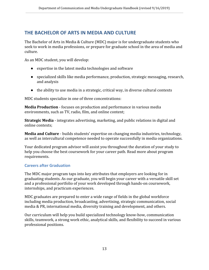# <span id="page-12-0"></span>**THE BACHELOR OF ARTS IN MEDIA AND CULTURE**

The Bachelor of Arts in Media & Culture (MDC) major is for undergraduate students who seek to work in media professions, or prepare for graduate school in the area of media and culture.

As an MDC student, you will develop:

- expertise in the latest media technologies and software
- specialized skills like media performance, production, strategic messaging, research, and analysis
- $\bullet$  the ability to use media in a strategic, critical way, in diverse cultural contexts

MDC students specialize in one of three concentrations:

**Media Production** - focuses on production and performance in various media environments, such as TV, radio, film, and online content;

**Strategic Media** - integrates advertising, marketing, and public relations in digital and online contexts;

**Media and Culture** - builds students' expertise on changing media industries, technology, as well as intercultural competence needed to operate successfully in media organizations.

Your dedicated program advisor will assist you throughout the duration of your study to help you choose the best coursework for your career path. Read more about program requirements.

#### <span id="page-12-1"></span>**Careers after Graduation**

The MDC major program taps into key attributes that employers are looking for in graduating students. As our graduate, you will begin your career with a versatile skill set and a professional portfolio of your work developed through hands-on coursework, internships, and practicum experiences.

MDC graduates are prepared to enter a wide range of fields in the global workforce including media production, broadcasting, advertising, strategic communication, social media & PR, international media, diversity training and development, and others.

Our curriculum will help you build specialized technology know-how, communication skills, teamwork, a strong work ethic, analytical skills, and flexibility to succeed in various professional positions.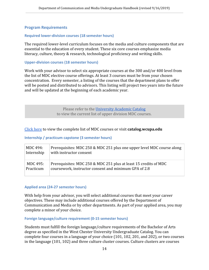#### <span id="page-13-0"></span>**Program Requirements**

#### <span id="page-13-1"></span>**Required lower-division courses (18 semester hours)**

The required lower-level curriculum focuses on the media and culture components that are essential to the education of every student. These six core courses emphasize media literacy, culture, theory & research, technological proficiency and writing skills.

#### <span id="page-13-2"></span>**Upper-division courses (18 semester hours)**

Work with your advisor to select six appropriate courses at the 300 and/or 400 level from the list of MDC elective course offerings. At least 3 courses must be from your chosen concentration. Every semester, a listing of the courses that the department plans to offer will be posted and distributed to advisors. This listing will project two years into the future and will be updated at the beginning of each academic year.

> Please refer to the [University Academic Catalog](http://catalog.wcupa.edu/undergraduate/arts-humanities/communication-media/media-culture-ba/) to view the current list of upper division MDC courses.

#### [Click here](http://catalog.wcupa.edu/undergraduate/arts-humanities/communication-media/media-culture-ba/) to view the complete list of MDC courses or visit **catalog.wcupa.edu**

#### <span id="page-13-3"></span>**Internship / practicum capstone (3 semester hours)**

| MDC 494:   | Prerequisites: MDC 250 & MDC 251 plus one upper level MDC course along |
|------------|------------------------------------------------------------------------|
| Internship | with instructor consent                                                |
| MDC 495:   | Prerequisites: MDC 250 & MDC 251 plus at least 15 credits of MDC       |
| Practicum  | coursework, instructor consent and minimum GPA of 2.8                  |

#### <span id="page-13-4"></span>**Applied area (24-27 semester hours)**

With help from your advisor, you will select additional courses that meet your career objectives. These may include additional courses offered by the Department of Communication and Media or by other departments. As part of your applied area, you may complete a minor of your choice.

#### <span id="page-13-5"></span>**Foreign language/culture requirement (0-15 semester hours)**

Students must fulfill the foreign language/culture requirements of the Bachelor of Arts degree as specified in the West Chester University Undergraduate Catalog. You can complete four courses in a language of your choice (101, 102, 201, and 202), or two courses in the language (101, 102) and three culture cluster courses. Culture clusters are courses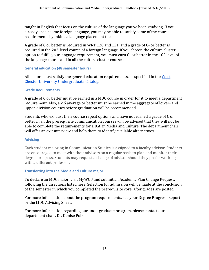taught in English that focus on the culture of the language you've been studying. If you already speak some foreign language, you may be able to satisfy some of the course requirements by taking a language placement test.

A grade of C or better is required in WRT 120 and 121, and a grade of C- or better is required in the 202-level course of a foreign language. If you choose the culture cluster option to fulfill your language requirement, you must earn C- or better in the 102 level of the language course and in all the culture cluster courses.

#### <span id="page-14-0"></span>**General education (48 semester hours)**

All majors must satisfy the general education requirements, as specified in the [West](http://catalog.wcupa.edu/undergraduate/arts-humanities/communication-media/media-culture-ba/) [Chester University Undergraduate Catalog](http://catalog.wcupa.edu/undergraduate/arts-humanities/communication-media/media-culture-ba/).

#### <span id="page-14-1"></span>**Grade Requirements**

A grade of C or better must be earned in a MDC course in order for it to meet a department requirement. Also, a 2.5 average or better must be earned in the aggregate of lower- and upper-division courses before graduation will be recommended.

Students who exhaust their course repeat options and have not earned a grade of C or better in all the prerequisite communication courses will be advised that they will not be able to complete the requirements for a B.A. in Media and Culture. The department chair will offer an exit interview and help them to identify available alternatives.

#### <span id="page-14-2"></span>**Advising**

Each student majoring in Communication Studies is assigned to a faculty advisor. Students are encouraged to meet with their advisors on a regular basis to plan and monitor their degree progress. Students may request a change of advisor should they prefer working with a different professor.

#### <span id="page-14-3"></span>**Transferring into the Media and Culture major**

To declare an MDC major, visit MyWCU and submit an Academic Plan Change Request, following the directions listed here. Selection for admission will be made at the conclusion of the semester in which you completed the prerequisite core, after grades are posted.

For more information about the program requirements, see your Degree Progress Report or the MDC Advising Sheet.

For more information regarding our undergraduate program, please contact our department chair, Dr. Denise Polk.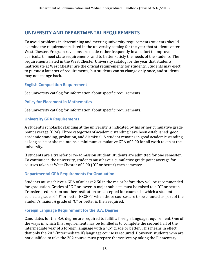# <span id="page-15-0"></span>**UNIVERSITY AND DEPARTMENTAL REQUIREMENTS**

To avoid problems in determining and meeting university requirements students should examine the requirements listed in the university catalog for the year that students enter West Chester. Program revisions are made rather frequently in an effort to improve curricula, to meet state requirements, and to better satisfy the needs of the students. The requirements listed in the West Chester University catalog for the year that students matriculate at West Chester are the official requirements for students. Students may elect to pursue a later set of requirements; but students can so change only once, and students may not change back.

#### <span id="page-15-1"></span>**English Composition Requirement**

See university catalog for information about specific requirements.

#### <span id="page-15-2"></span>**Policy for Placement in Mathematics**

See university catalog for information about specific requirements.

#### <span id="page-15-3"></span>**University GPA Requirements**

A student's scholastic standing at the university is indicated by his or her cumulative grade point average (GPA). Three categories of academic standing have been established: good academic standing, probation, and dismissal. A student remains in good academic standing as long as he or she maintains a minimum cumulative GPA of 2.00 for all work taken at the university.

If students are a transfer or re-admission student, students are admitted for one semester. To continue in the university, students must have a cumulative grade point average for courses taken at West Chester of 2.00 ("C" or better) each semester.

#### <span id="page-15-4"></span>**Departmental GPA Requirements for Graduation**

Students must achieve a GPA of at least 2.50 in the major before they will be recommended for graduation. Grades of "C-" or lower in major subjects must be raised to a "C" or better. Transfer credits from another institution are accepted for courses in which a student earned a grade of "D" or better EXCEPT when those courses are to be counted as part of the student's major. A grade of "C" or better is then required.

#### <span id="page-15-5"></span>**Foreign Language Requirement for the B.A. Degree**

Candidates for the B.A. degree are required to fulfill a foreign language requirement. One of the ways in which this requirement may be fulfilled is to complete the second half of the intermediate year of a foreign language with a "C-" grade or better. This means in effect that only the 202 (Intermediate II) language course is required. However, students who are not qualified to take the 202 course must prepare themselves by taking the Elementary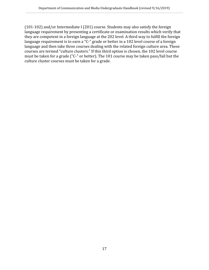(101-102) and/or Intermediate I (201) course. Students may also satisfy the foreign language requirement by presenting a certificate or examination results which verify that they are competent in a foreign language at the 202 level. A third way to fulfill the foreign language requirement is to earn a "C-" grade or better in a 102 level course of a foreign language and then take three courses dealing with the related foreign culture area. These courses are termed "culture clusters." If this third option is chosen, the 102 level course must be taken for a grade ("C-" or better). The 101 course may be taken pass/fail but the culture cluster courses must be taken for a grade.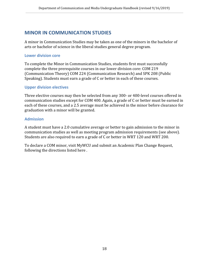# <span id="page-17-0"></span>**MINOR IN COMMUNICATION STUDIES**

A minor in Communication Studies may be taken as one of the minors in the bachelor of arts or bachelor of science in the liberal studies general degree program.

#### <span id="page-17-1"></span>**Lower division core**

To complete the Minor in Communication Studies, students first must successfully complete the three prerequisite courses in our lower division core: COM 219 (Communication Theory) COM 224 (Communication Research) and SPK 208 (Public Speaking). Students must earn a grade of C or better in each of these courses.

#### <span id="page-17-2"></span>**Upper division electives**

Three elective courses may then be selected from any 300- or 400-level courses offered in communication studies except for COM 400. Again, a grade of C or better must be earned in each of these courses, and a 2.5 average must be achieved in the minor before clearance for graduation with a minor will be granted.

#### <span id="page-17-3"></span>**Admission**

A student must have a 2.0 cumulative average or better to gain admission to the minor in communication studies as well as meeting program admission requirements (see above). Students are also required to earn a grade of C or better in WRT 120 and WRT 200.

To declare a COM minor, visit MyWCU and submit an Academic Plan Change Request, following the directions listed here .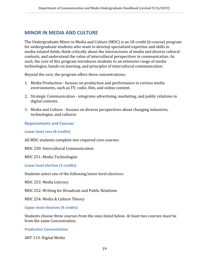### <span id="page-18-0"></span>**MINOR IN MEDIA AND CULTURE**

The Undergraduate Minor in Media and Culture (MDC) is an 18-credit (6-course) program for undergraduate students who want to develop specialized expertise and skills in media-related fields, think critically about the intersections of media and diverse cultural contexts, and understand the value of intercultural perspectives in communication. As such, the core of this program introduces students to an extensive range of media technologies, hands-on learning, and principles of intercultural communication.

Beyond the core, the program offers three concentrations:

- 1. Media Production focuses on production and performance in various media environments, such as TV, radio, film, and online content.
- 2. Strategic Communication integrates advertising, marketing, and public relations in digital contexts.
- 3. Media and Culture focuses on diverse perspectives about changing industries, technologies, and cultures

#### <span id="page-18-1"></span>**Requirements and Courses**

<span id="page-18-2"></span>**Lower level core (6 credits)**

All MDC students complete two required core courses:

MDC 250: Intercultural Communication

MDC 251: Media Technologies

<span id="page-18-3"></span>**Lower level elective (3 credits)**

Students select one of the following lower level electives:

MDC 253: Media Literacy

MDC 252: Writing for Broadcast and Public Relations

MDC 254: Media & Culture Theory

<span id="page-18-4"></span>**Upper level electives (9 credits)**

Students choose three courses from the ones listed below. At least two courses must be from the same Concentration.

#### <span id="page-18-5"></span>*Production Concentration*

ART 113: Digital Media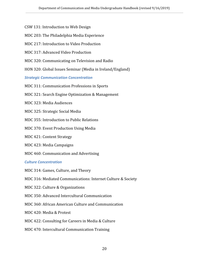CSW 131: Introduction to Web Design

MDC 203: The Philadelphia Media Experience

MDC 217: Introduction to Video Production

MDC 317: Advanced Video Production

MDC 320: Communicating on Television and Radio

HON 320: Global Issues Seminar (Media in Ireland/England)

<span id="page-19-0"></span>*Strategic Communication Concentration*

MDC 311: Communication Professions in Sports

MDC 321: Search Engine Optimization & Management

MDC 323: Media Audiences

MDC 325: Strategic Social Media

MDC 355: Introduction to Public Relations

MDC 370: Event Production Using Media

MDC 421: Content Strategy

MDC 423: Media Campaigns

MDC 460: Communication and Advertising

<span id="page-19-1"></span>*Culture Concentration*

MDC 314: Games, Culture, and Theory

MDC 316: Mediated Communications: Internet Culture & Society

MDC 322: Culture & Organizations

MDC 350: Advanced Intercultural Communication

MDC 360: African American Culture and Communication

MDC 420: Media & Protest

MDC 422: Consulting for Careers in Media & Culture

MDC 470: Intercultural Communication Training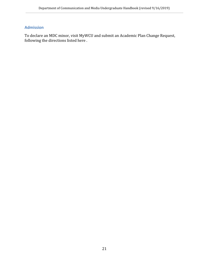### <span id="page-20-0"></span>**Admission**

To declare an MDC minor, visit MyWCU and submit an Academic Plan Change Request, following the directions listed here .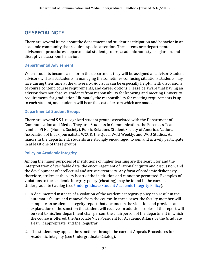# <span id="page-21-0"></span>**OF SPECIAL NOTE**

There are several items about the department and student participation and behavior in an academic community that requires special attention. These items are: departmental advisement procedures, departmental student groups, academic honesty, plagiarism, and disruptive classroom behavior.

#### <span id="page-21-1"></span>**Departmental Advisement**

When students become a major in the department they will be assigned an advisor. Student advisors will assist students in managing the sometimes confusing situations students may face during their time at the university. Advisors can be especially helpful with discussions of course content, course requirements, and career options. Please be aware that having an advisor does not absolve students from responsibility for knowing and meeting University requirements for graduation. Ultimately the responsibility for meeting requirements is up to each student, and students will bear the cost of errors which are made.

#### <span id="page-21-2"></span>**Departmental Student Groups**

There are several S.S.I. recognized student groups associated with the Department of Communication and Media. They are: Students in Communication, the Forensics Team, Lambda Pi Eta (Honors Society), Public Relations Student Society of America, National Association of Black Journalists, WCUR, the Quad, WCU Weekly, and WCU Studios. As majors in the department, students are strongly encouraged to join and actively participate in at least one of these groups.

#### <span id="page-21-3"></span>**Policy on Academic Integrity**

Among the major purposes of institutions of higher learning are the search for and the interpretation of verifiable data, the encouragement of rational inquiry and discussion, and the development of intellectual and artistic creativity. Any form of academic dishonesty, therefore, strikes at the very heart of the institution and cannot be permitted. Examples of violations to the academic integrity policy (cheating) may be found in the current Undergraduate Catalog (see [Undergraduate Student Academic Integrity Policy](http://catalog.wcupa.edu/undergraduate/academic-policies-procedures/academic-integrity/)).

- 1. A documented instance of a violation of the academic integrity policy can result in the automatic failure and removal from the course. In these cases, the faculty member will complete an academic integrity report that documents the violation and provides an explanation of the sanction the student will receive. In addition, copies of the report will be sent to his/her department chairperson, the chairperson of the department in which the course is offered, the Associate Vice President for Academic Affairs or the Graduate Dean, if appropriate, and the Registrar.
- 2. The student may appeal the sanctions through the current Appeals Procedures for Academic Integrity (see Undergraduate Catalog).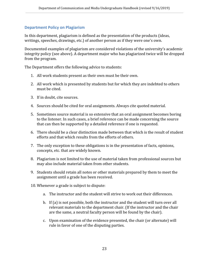#### <span id="page-22-0"></span>**Department Policy on Plagiarism**

In this department, plagiarism is defined as the presentation of the products (ideas, writings, speeches, drawings, etc.) of another person as if they were one's own.

Documented examples of plagiarism are considered violations of the university's academic integrity policy (see above). A department major who has plagiarized twice will be dropped from the program.

The Department offers the following advice to students:

- 1. All work students present as their own must be their own.
- 2. All work which is presented by students but for which they are indebted to others must be cited.
- 3. If in doubt, cite sources.
- 4. Sources should be cited for oral assignments. Always cite quoted material.
- 5. Sometimes source material is so extensive that an oral assignment becomes boring to the listener. In such cases, a brief reference can be made concerning the source that can then be supported by a detailed reference if one is requested.
- 6. There should be a clear distinction made between that which is the result of student efforts and that which results from the efforts of others.
- 7. The only exception to these obligations is in the presentation of facts, opinions, concepts, etc. that are widely known.
- 8. Plagiarism is not limited to the use of material taken from professional sources but may also include material taken from other students.
- 9. Students should retain all notes or other materials prepared by them to meet the assignment until a grade has been received.
- 10. Whenever a grade is subject to dispute:
	- a. The instructor and the student will strive to work out their differences.
	- b. If (a) is not possible, both the instructor and the student will turn over all relevant materials to the department chair. (If the instructor and the chair are the same, a neutral faculty person will be found by the chair).
	- c. Upon examination of the evidence presented, the chair (or alternate) will rule in favor of one of the disputing parties.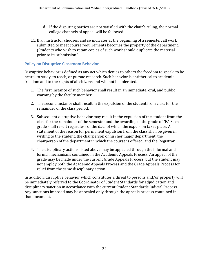- d. If the disputing parties are not satisfied with the chair's ruling, the normal college channels of appeal will be followed.
- 11. If an instructor chooses, and so indicates at the beginning of a semester, all work submitted to meet course requirements becomes the property of the department. (Students who wish to retain copies of such work should duplicate the material prior to its submission.)

#### <span id="page-23-0"></span>**Policy on Disruptive Classroom Behavior**

Disruptive behavior is defined as any act which denies to others the freedom to speak, to be heard, to study, to teach, or pursue research. Such behavior is antithetical to academic freedom and to the rights of all citizens and will not be tolerated.

- 1. The first instance of such behavior shall result in an immediate, oral, and public warning by the faculty member.
- 2. The second instance shall result in the expulsion of the student from class for the remainder of the class period.
- 3. Subsequent disruptive behavior may result in the expulsion of the student from the class for the remainder of the semester and the awarding of the grade of "F." Such grade shall result regardless of the data of which the expulsion takes place. A statement of the reason for permanent expulsion from the class shall be given in writing to the student, the chairperson of his/her major department, the chairperson of the department in which the course is offered, and the Registrar.
- 4. The disciplinary actions listed above may be appealed through the informal and formal mechanisms contained in the Academic Appeals Process. An appeal of the grade may be made under the current Grade Appeals Process, but the student may not employ both the Academic Appeals Process and the Grade Appeals Process for relief from the same disciplinary action.

In addition, disruptive behavior which constitutes a threat to persons and/or property will be immediately referred to the Coordinator of Student Standards for adjudication and disciplinary sanction in accordance with the current Student Standards Judicial Process. Any sanctions imposed may be appealed only through the appeals process contained in that document.